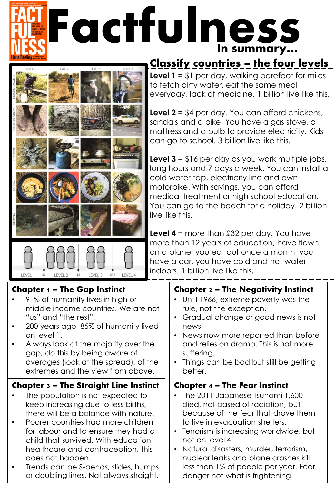## 'actfulnes In summary…



\$8

 $$2$ 

## Classify countries – the four levels

**Level 1** = \$1 per day, walking barefoot for miles to fetch dirty water, eat the same meal everyday, lack of medicine. 1 billion live like this.

**Level 2** = \$4 per day. You can afford chickens, sandals and a bike. You have a gas stove, a mattress and a bulb to provide electricity. Kids can go to school. 3 billion live like this.

**Level 3** = \$16 per day as you work multiple jobs, long hours and 7 days a week. You can install a cold water tap, electricity line and own motorbike. With savings, you can afford medical treatment or high school education. You can go to the beach for a holiday. 2 billion live like this.

**Level 4** = more than £32 per day. You have more than 12 years of education, have flown on a plane, you eat out once a month, you have a car, you have cold and hot water indoors. 1 billion live like this.

| <b>Chapter <math>1 -</math> The Gap Instinct</b><br>91% of humanity lives in high or<br>middle income countries. We are not<br>"us" and "the rest".<br>200 years ago, 85% of humanity lived<br>on level 1.<br>Always look at the majority over the<br>gap, do this by being aware of<br>averages (look at the spread), of the<br>extremes and the view from above. | <b>Chapter 2 - The Negativity Instinct</b><br>Until 1966, extreme poverty was the<br>rule, not the exception.<br>Gradual change or good news is not<br>news.<br>News now more reported than before<br>$\bullet$<br>and relies on drama. This is not more<br>suffering.<br>Things can be bad but still be getting<br>better. |
|--------------------------------------------------------------------------------------------------------------------------------------------------------------------------------------------------------------------------------------------------------------------------------------------------------------------------------------------------------------------|-----------------------------------------------------------------------------------------------------------------------------------------------------------------------------------------------------------------------------------------------------------------------------------------------------------------------------|
| <b>Chapter 3 - The Straight Line Instinct</b>                                                                                                                                                                                                                                                                                                                      | <b>Chapter 4 - The Fear Instinct</b>                                                                                                                                                                                                                                                                                        |
| The population is not expected to                                                                                                                                                                                                                                                                                                                                  | The 2011 Japanese Tsunami 1,600                                                                                                                                                                                                                                                                                             |
| keep increasing due to less births,                                                                                                                                                                                                                                                                                                                                | died, not based of radiation, but                                                                                                                                                                                                                                                                                           |
| there will be a balance with nature.                                                                                                                                                                                                                                                                                                                               | because of the fear that drove them                                                                                                                                                                                                                                                                                         |
| Poorer countries had more children                                                                                                                                                                                                                                                                                                                                 | to live in evacuation shelters.                                                                                                                                                                                                                                                                                             |
| for labour and to ensure they had a                                                                                                                                                                                                                                                                                                                                | Terrorism is increasing worldwide, but                                                                                                                                                                                                                                                                                      |
| child that survived. With education,                                                                                                                                                                                                                                                                                                                               | not on level 4.                                                                                                                                                                                                                                                                                                             |
| healthcare and contraception, this                                                                                                                                                                                                                                                                                                                                 | Natural disasters, murder, terrorism,                                                                                                                                                                                                                                                                                       |
| does not happen.                                                                                                                                                                                                                                                                                                                                                   | nuclear leaks and plane crashes kill                                                                                                                                                                                                                                                                                        |
| Trends can be S-bends, slides, humps                                                                                                                                                                                                                                                                                                                               | less than 1% of people per year. Fear                                                                                                                                                                                                                                                                                       |
| or doubling lines. Not always straight.                                                                                                                                                                                                                                                                                                                            | danger not what is frightening.                                                                                                                                                                                                                                                                                             |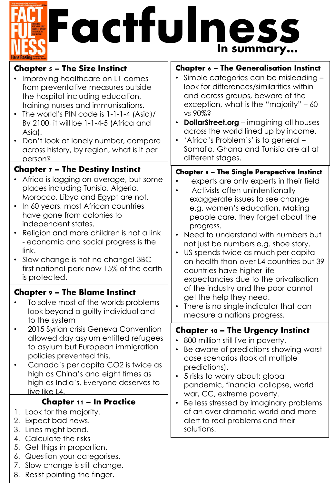## **EFactfulness** In summary…

| <b>Chapter 5 – The Size Instinct</b>                                                                                                                                                                                                                                                                                                                                                                                       | <b>Chapter 6 - The Generalisation Instinct</b>                                                                                                                                                                                                                                                                                                                                                                                            |
|----------------------------------------------------------------------------------------------------------------------------------------------------------------------------------------------------------------------------------------------------------------------------------------------------------------------------------------------------------------------------------------------------------------------------|-------------------------------------------------------------------------------------------------------------------------------------------------------------------------------------------------------------------------------------------------------------------------------------------------------------------------------------------------------------------------------------------------------------------------------------------|
| Improving healthcare on L1 comes<br>from preventative measures outside<br>the hospital including education,<br>training nurses and immunisations.                                                                                                                                                                                                                                                                          | Simple categories can be misleading -<br>look for differences/similarities within<br>and across groups, beware of the<br>exception, what is the "majority" - 60                                                                                                                                                                                                                                                                           |
| The world's PIN code is 1-1-1-4 (Asia)/<br>$\bullet$<br>By 2100, it will be 1-1-4-5 (Africa and<br>Asia).                                                                                                                                                                                                                                                                                                                  | vs 90%?<br><b>DollarStreet.org</b> – imagining all houses<br>across the world lined up by income.                                                                                                                                                                                                                                                                                                                                         |
| Don't look at lonely number, compare<br>across history, by region, what is it per<br>person?                                                                                                                                                                                                                                                                                                                               | 'Africa's Problem's' is to general -<br>Somalia, Ghana and Tunisia are all at<br>different stages.                                                                                                                                                                                                                                                                                                                                        |
| <b>Chapter 7 - The Destiny Instinct</b>                                                                                                                                                                                                                                                                                                                                                                                    | <b>Chapter 8 - The Single Perspective Instinct</b>                                                                                                                                                                                                                                                                                                                                                                                        |
| Africa is lagging on average, but some<br>places including Tunisia, Algeria,<br>Morocco, Libya and Egypt are not.<br>In 60 years, most African countries<br>have gone from colonies to<br>independent states.<br>Religion and more children is not a link<br>- economic and social progress is the<br>link.<br>Slow change is not no change! 3BC<br>$\bullet$<br>first national park now 15% of the earth<br>is protected. | experts are only experts in their field<br>Activists often unintentionally<br>exaggerate issues to see change<br>e.g. women's education. Making<br>people care, they forget about the<br>progress.<br>Need to understand with numbers but<br>not just be numbers e.g. shoe story.<br>US spends twice as much per capita<br>on health than over L4 countries but 39<br>countries have higher life<br>expectancies due to the privatisation |
| <b>Chapter 9 - The Blame Instinct</b>                                                                                                                                                                                                                                                                                                                                                                                      | of the industry and the poor cannot<br>get the help they need.                                                                                                                                                                                                                                                                                                                                                                            |
| To solve most of the worlds problems<br>look beyond a guilty individual and<br>to the system                                                                                                                                                                                                                                                                                                                               | There is no single indicator that can<br>measure a nations progress.                                                                                                                                                                                                                                                                                                                                                                      |
| 2015 Syrian crisis Geneva Convention<br>allowed day asylum entitled refugees<br>to asylum but European immigration<br>policies prevented this.<br>Canada's per capita CO2 is twice as                                                                                                                                                                                                                                      | <b>Chapter 10 - The Urgency Instinct</b><br>800 million still live in poverty.<br>Be aware of predictions showing worst<br>case scenarios (look at multiple                                                                                                                                                                                                                                                                               |
| high as China's and eight times as                                                                                                                                                                                                                                                                                                                                                                                         | predictions).                                                                                                                                                                                                                                                                                                                                                                                                                             |
| high as India's. Everyone deserves to<br><u>live like L4.</u>                                                                                                                                                                                                                                                                                                                                                              | 5 risks to worry about: global<br>pandemic, financial collapse, world                                                                                                                                                                                                                                                                                                                                                                     |
| <b>Chapter 11 - In Practice</b>                                                                                                                                                                                                                                                                                                                                                                                            | war, CC, extreme poverty.<br>Be less stressed by imaginary problems                                                                                                                                                                                                                                                                                                                                                                       |
| 1. Look for the majority.<br>2. Expect bad news.<br>3. Lines might bend.                                                                                                                                                                                                                                                                                                                                                   | of an over dramatic world and more<br>alert to real problems and their<br>solutions.                                                                                                                                                                                                                                                                                                                                                      |
| 4. Calculate the risks<br>Get thigs in proportion.<br>5.                                                                                                                                                                                                                                                                                                                                                                   |                                                                                                                                                                                                                                                                                                                                                                                                                                           |
| Question your categorises.<br>6.<br>Slow change is still change.<br>7.                                                                                                                                                                                                                                                                                                                                                     |                                                                                                                                                                                                                                                                                                                                                                                                                                           |
| 8. Resist pointing the finger.                                                                                                                                                                                                                                                                                                                                                                                             |                                                                                                                                                                                                                                                                                                                                                                                                                                           |